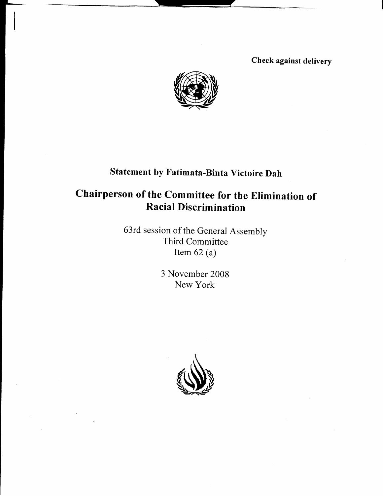Check against delivery



# Statement by Fatimata-Binta victoire Dah

## Chairperson of the Committee for the Elimination of Racial Discrimination

63rd session of the General Assembly Third Committee Item  $62$  (a)

> 3 November 2008 New York

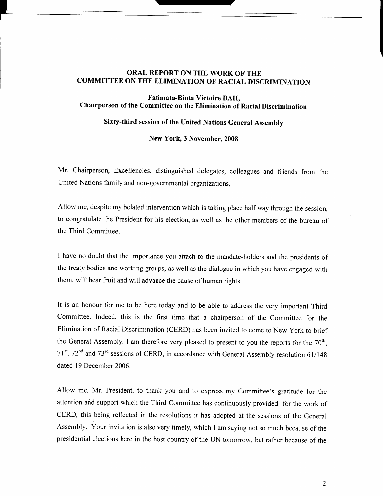### ORAL REPORT ON THE WORK OF THE COMMITTEE ON THE ELIMINATION OF RACIAL DISCRIMINATION

l \_

#### Fatimata-Binta Victoire DAH, Chairperson of the Committee on the Elimination of Racial Discrimination

### Sixty-third session of the United Nations General Assemblv

New York, 3 November, 2008

Mr. Chairperson, Excellencies, distinguished delegates, colleagues and friends from the United Nations family and non-governmental organizations,

Allow me, despite my belated intervention which is taking place half way through the session, to congratulate the President for his election, as well as the other members of the bureau of the Third Commiffee.

I have no doubt that the importance you attach to the mandate-holders and the presidents of the treaty bodies and working groups, as well as the dialogue in which you have engaged with them, will bear fruit and will advance the cause of human riehts.

It is an honour for me to be here today and to be able to address the very important Third Committee. Indeed, this is the first time that a chairperson of the Committee for the Elimination of Racial Discrimination (CERD) has been invited to come to New York to brief the General Assembly. I am therefore very pleased to present to you the reports for the  $70<sup>th</sup>$ ,  $71<sup>st</sup>$ ,  $72<sup>nd</sup>$  and  $73<sup>rd</sup>$  sessions of CERD, in accordance with General Assembly resolution 61/148 dated l9 December 2006.

Allow me, Mr. President, to thank you and to express my Committee's gratitude for the attention and support which the Third Committee has continuously provided for the work of CERD, this being reflected in the resolutions ithas adopted at the sessions of the General Assembly. Your invitation is also very timely, which I am saying not so much because of the presidential elections here in the host country of the LIN tomorrow, but rather because of the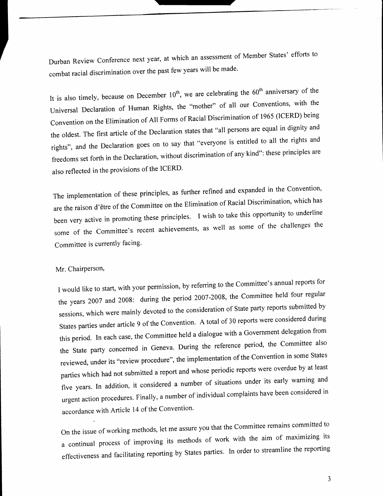Durban Review Conference next year, at which an assessment of Member States' efforts to combat racial discrimination over the past few years will be made.

It is also timely, because on December  $10<sup>th</sup>$ , we are celebrating the  $60<sup>th</sup>$  anniversary of the Universal Declaration of Human Rights, the "mother" of all our Conventions, with the Convention on the Elimination of All Forms of Racial Discrimination of 1965 (ICERD) being the oldest. The first article of the Declaration states that "all persons are equal in dignity and rights", and the Declaration goes on to say that "everyone is entitled to all the rights and freedoms set forth in the Declaration, without discrimination of any kind": these principles are also reflected in the provisions of the ICERD.

The implementation of these principles, as further refined and expanded in the convention' are the raison d'être of the Committee on the Elimination of Racial Discrimination, which has been very active in promoting these principles. I wish to take this opportunity to underline some of the Committee's recent achievements, as well as some of the challenges the Committee is currently facing.

## Mr. Chairperson,

I would like to start, with your permission, by refening to the committee's annual reports for the years 2007 and 2008: during the period 2007-2008, the Committee held four regular sessions, which were mainly devoted to the consideration of state party reports submitted by States parties under article 9 of the convention. A total of 30 reports were considered during this period. In each case, the Committee held a dialogue with a Government delegation from the state party concerned in Geneva. During the reference period, the committee also reviewed, under its "review procedure", the implementation of the Convention in some States parties which had not submitted a report and whose periodic reports were overdue by at least five years. In addition, it considered a number of situations under its early warning and urgent action procedures. Finaily, a number of individual complaints have been considered in accordance with Article 14 of the Convention'

on the issue of working methods, let me assure you that the committee remains committed to a continual process of improving its methods of work with the aim of maximlzing its effectiveness and facilitating reporting by States parties. In order to streamline the reporting

3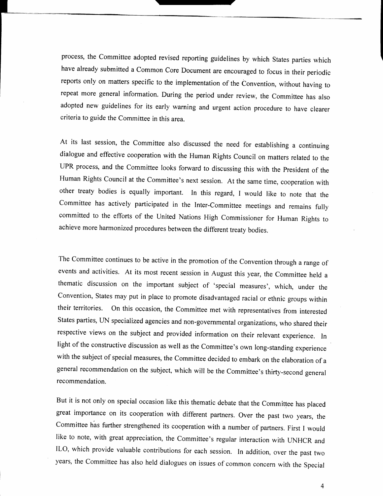process, the Committee adopted revised reporting guidelines by which States parties which have already submitted a Common Core Document are encouraged to focus in their periodic reports only on matters specific to the implementation of the Convention, without having to repeat more general information. During the period under review, the Committee has also adopted new guidelines for its early warning and urgent action procedure to have clearer criteria to guide the Committee in this area.

At its last session, the Committee also discussed the need for establishing a continuing dialogue and effective cooperation with the Human Rights Council on matters related to the UPR process, and the Committee looks forward to discussing this with the President of the Human Rights Council at the Committee's next session. At the same time, cooperation with other treaty bodies is equally important. In this regard, I would like to note that the Committee has actively participated in the Inter-Committee meetings and remains fully committed to the efforts of the United Nations High Commissioner for Human Rights to achieve more harmonized procedures between the different treaty bodies.

The Committee continues to be active in the promotion of the Convention through a range of events and activities. At its most recent session in August this year, the Commiftee held a thematic discussion on the important subject of 'special measures', which, under the Convention, States may put in place to promote disadvantaged racial or ethnic groups within their territories. On this occasion, the Committee met with representatives from interested States parties, IIN specialized agencies and non-governmental organizations, who shared their respective views on the subject and provided information on their relevant experience. In light of the constructive discussion as well as the Committee's own long-standing experience with the subject of special measures, the Committee decided to embark on the elaboration of a general recommendation on the subject, which will be the Committee's thirfy-second general recommendation.

But it is not only on special occasion like this thematic debate that the Committee has placed great importance on its cooperation with different partners. Over the past two years, the Committee has further strengthened its cooperation with a number of partners. First I would like to note, with great appreciation, the Committee's regular interaction with UNHCR and ILO, which provide valuable contributions for each session. In addition, over the past two years, the Committee has also held dialogues on issues of common concern with the Special

 $\overline{4}$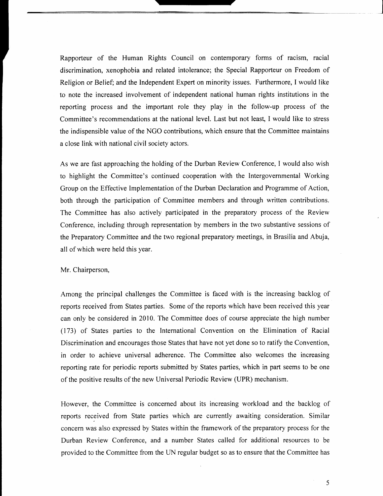Rapporteur of the Human Rights Council on contemporary forms of racism, racial discrimination, xenophobia and related intolerance; the Special Rapporteur on Freedom of Religion or Belief; and the Independent Expert on minority issues. Furthermore, I would like to note the increased involvement of independent national human rights institutions in the reporting process and the important role they play in the follow-up process of the Committee's recommendations at the national level. Last but not least, I would like to stress the indispensible value of the NGO contributions, which ensure that the Committee maintains a close link with national civil society actors.

As we are fast approaching the holding of the Durban Review Conference, I would also wish to highlight the Committee's continued cooperation with the Intergovernmental Working Group on the Effective Implementation of the Durban Declaration and Programme of Action, both through the participation of Committee members and through written contributions. The Commiffee has also actively participated in the preparatory process of the Review Conference, including through representation by members in the two substantive sessions of the Preparatory Committee and the two regional preparatory meetings, in Brasilia and Abuja, all of which were held this vear.

#### Mr. Chairperson,

Among the principal challenges the Committee is faced with is the increasing backlog of reports received from States parties. Some of the reports which have been received this year can only be considered in20l0. The Committee does of course appreciate the high number (173) of States parties to the International Convention on the Elimination of Racial Discrimination and encourages those States that have not yet done so to ratify the Convention, in order to achieve universal adherence. The Committee also welcomes the increasing reporting rate for periodic reports submitted by States parties, which in part seems to be one of the positive results of the new Universal Periodic Review (UPR) mechanism.

However, the Committee is concerned about its increasing workload and the backlog of reports received from State parties which are currently awaiting consideration. Similar concern was also expressed by States within the framework of the preparatory process for the Durban Review Conference, and a number States called for additional resources to be provided to the Commiftee from the tIN regular budget so as to ensure that the Committee has

5

l